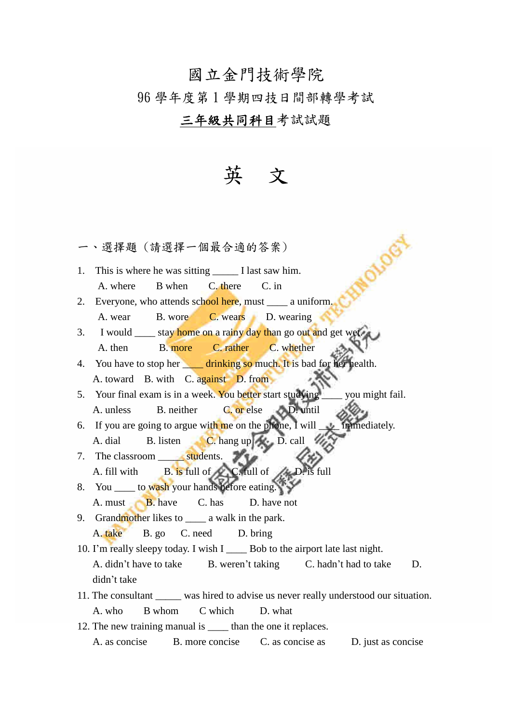## 國立金門技術學院

## 96 學年度第 1 學期四技日間部轉學考試

## 三年級共同科目考試試題

## 英 文

OLOGY

一、選擇題 (請選擇一個最合適的答案)

- 1. This is where he was sitting \_\_\_\_\_ I last saw him. A. where B when C. there C. in
- 2. Everyone, who attends school here, must \_\_\_\_\_ a uniform. A. wear B. wore C. wears D. wearing
- 3. I would <u>say home on a rainy day than</u> go out and get wet. A. then B. more C. rather C. whether
- 4. You have to stop her drinking so much. It is bad for her health. A. toward B. with C. against D. from
- 5. Your final exam is in a week. You better start studying vou might fail. A. unless B. neither C. or else D. until
- 6. If you are going to argue with me on the phone, I will  $\Box$  immediately. A. dial B. listen C. hang up D. call
- 7. The classroom students. A. fill with B. is full of C. full of  $\triangle$  D. is full
- 8. You \_\_\_\_\_ to wash your hands before eating. A. must **B.** have **C.** has **D.** have not
- 9. Grandmother likes to \_\_\_\_\_ a walk in the park. A. take B. go C. need D. bring
- 10. I'm really sleepy today. I wish I Bob to the airport late last night. A. didn't have to take B. weren't taking C. hadn't had to take D. didn't take
- 11. The consultant \_\_\_\_\_ was hired to advise us never really understood our situation. A. who B whom C which D. what
- 12. The new training manual is than the one it replaces. A. as concise B. more concise C. as concise as D. just as concise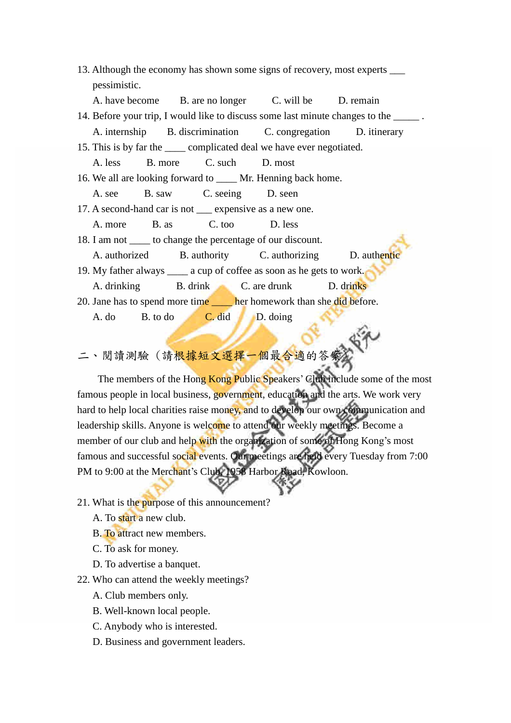|                                                                                       |                                 | 13. Although the economy has shown some signs of recovery, most experts _______ |  |
|---------------------------------------------------------------------------------------|---------------------------------|---------------------------------------------------------------------------------|--|
| pessimistic.                                                                          |                                 |                                                                                 |  |
| A. have become B. are no longer C. will be D. remain                                  |                                 |                                                                                 |  |
| 14. Before your trip, I would like to discuss some last minute changes to the ______. |                                 |                                                                                 |  |
| A. internship B. discrimination C. congregation D. itinerary                          |                                 |                                                                                 |  |
| 15. This is by far the ______ complicated deal we have ever negotiated.               |                                 |                                                                                 |  |
| A. less                                                                               | B. more C. such D. most         |                                                                                 |  |
| 16. We all are looking forward to _____ Mr. Henning back home.                        |                                 |                                                                                 |  |
|                                                                                       | A. see B. saw C. seeing D. seen |                                                                                 |  |
| 17. A second-hand car is not _____ expensive as a new one.                            |                                 |                                                                                 |  |
| A. more                                                                               | B. as C. too D. less            |                                                                                 |  |
| 18. I am not ______ to change the percentage of our discount.                         |                                 |                                                                                 |  |
|                                                                                       |                                 | A. authorized B. authority C. authorizing D. authoritic                         |  |
| 19. My father always ______ a cup of coffee as soon as he gets to work.               |                                 |                                                                                 |  |
|                                                                                       |                                 | A. drinking B. drink C. are drunk D. drinks                                     |  |
|                                                                                       |                                 | 20. Jane has to spend more time her homework than she did before.               |  |
|                                                                                       | A. do B. to do C. did D. doing  |                                                                                 |  |
|                                                                                       |                                 |                                                                                 |  |

二、閱讀測驗 (請根據短文選擇一個最合適的答案)

The members of the Hong Kong Public Speakers' Club include some of the most famous people in local business, government, education and the arts. We work very hard to help local charities raise money, and to develop our own communication and leadership skills. Anyone is welcome to attend our weekly meetings. Become a member of our club and help with the organization of some of Hong Kong's most famous and successful social events. Our meetings are held every Tuesday from 7:00 PM to 9:00 at the Merchant's Club, 1958 Harbor Road, Kowloon.

- 21. What is the purpose of this announcement?
	- A. To start a new club.
	- B. To attract new members.
	- C. To ask for money.
	- D. To advertise a banquet.
- 22. Who can attend the weekly meetings?
	- A. Club members only.
	- B. Well-known local people.
	- C. Anybody who is interested.
	- D. Business and government leaders.